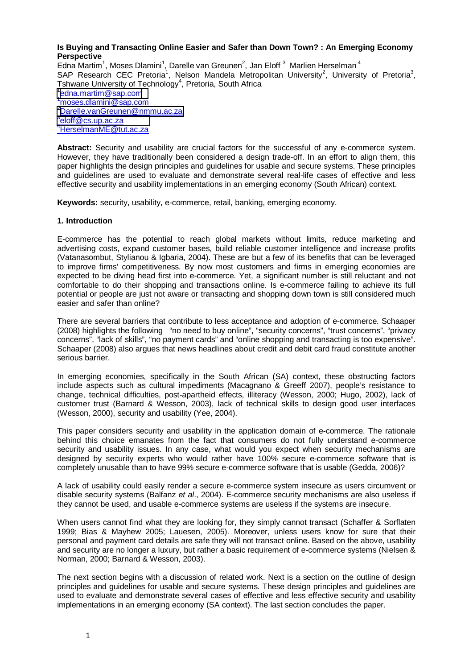### **Is Buying and Transacting Online Easier and Safer than Down Town? : An Emerging Economy Perspective**

Edna Martim<sup>1</sup>, Moses Dlamini<sup>1</sup>, Darelle van Greunen<sup>2</sup>, Jan Eloff<sup>3</sup> Marlien Herselman<sup>4</sup> SAP Research CEC Pretoria<sup>1</sup>, Nelson Mandela Metropolitan University<sup>2</sup>, University of Pretoria<sup>3</sup>, Tshwane University of Technology<sup>4</sup>, Pretoria, South Africa  $1$ edna.martim@sap.com  $1$ mos[e](mailto:1moses.dlamini@sap.com)s.dla[m](mailto:1moses.dlamini@sap.com)ini@sap.com 2[D](mailto:3eloff@cs.up.ac.za)[arelle.vanGreunen@nmmu.ac.za](mailto:Darelle.vanGreunen@nmmu.ac.za) <sup>3</sup>[eloff@cs.up.ac.za](mailto:4HerselmanME@tut.ac.za) 4HerselmanME@tut.ac.za

**Abstract:** Security and usability are crucial factors for the successful of any e-commerce system. However, they have traditionally been considered a design trade-off. In an effort to align them, this paper highlights the design principles and guidelines for usable and secure systems. These principles and guidelines are used to evaluate and demonstrate several real-life cases of effective and less effective security and usability implementations in an emerging economy (South African) context.

**Keywords:** security, usability, e-commerce, retail, banking, emerging economy.

### **1. Introduction**

E-commerce has the potential to reach global markets without limits, reduce marketing and advertising costs, expand customer bases, build reliable customer intelligence and increase profits (Vatanasombut, Stylianou & Igbaria, 2004). These are but a few of its benefits that can be leveraged to improve firms' competitiveness. By now most customers and firms in emerging economies are expected to be diving head first into e-commerce. Yet, a significant number is still reluctant and not comfortable to do their shopping and transactions online. Is e-commerce failing to achieve its full potential or people are just not aware or transacting and shopping down town is still considered much easier and safer than online?

There are several barriers that contribute to less acceptance and adoption of e-commerce. Schaaper (2008) highlights the following "no need to buy online", "security concerns", "trust concerns", "privacy concerns", "lack of skills", "no payment cards" and "online shopping and transacting is too expensive". Schaaper (2008) also argues that news headlines about credit and debit card fraud constitute another serious barrier.

In emerging economies, specifically in the South African (SA) context, these obstructing factors include aspects such as cultural impediments (Macagnano & Greeff 2007), people's resistance to change, technical difficulties, post-apartheid effects, illiteracy (Wesson, 2000; Hugo, 2002), lack of customer trust (Barnard & Wesson, 2003), lack of technical skills to design good user interfaces (Wesson, 2000), security and usability (Yee, 2004).

This paper considers security and usability in the application domain of e-commerce. The rationale behind this choice emanates from the fact that consumers do not fully understand e-commerce security and usability issues. In any case, what would you expect when security mechanisms are designed by security experts who would rather have 100% secure e-commerce software that is completely unusable than to have 99% secure e-commerce software that is usable (Gedda, 2006)?

A lack of usability could easily render a secure e-commerce system insecure as users circumvent or disable security systems (Balfanz *et al*., 2004). E-commerce security mechanisms are also useless if they cannot be used, and usable e-commerce systems are useless if the systems are insecure.

When users cannot find what they are looking for, they simply cannot transact (Schaffer & Sorflaten 1999; Bias & Mayhew 2005; Lauesen, 2005). Moreover, unless users know for sure that their personal and payment card details are safe they will not transact online. Based on the above, usability and security are no longer a luxury, but rather a basic requirement of e-commerce systems (Nielsen & Norman, 2000; Barnard & Wesson, 2003).

The next section begins with a discussion of related work. Next is a section on the outline of design principles and guidelines for usable and secure systems. These design principles and guidelines are used to evaluate and demonstrate several cases of effective and less effective security and usability implementations in an emerging economy (SA context). The last section concludes the paper.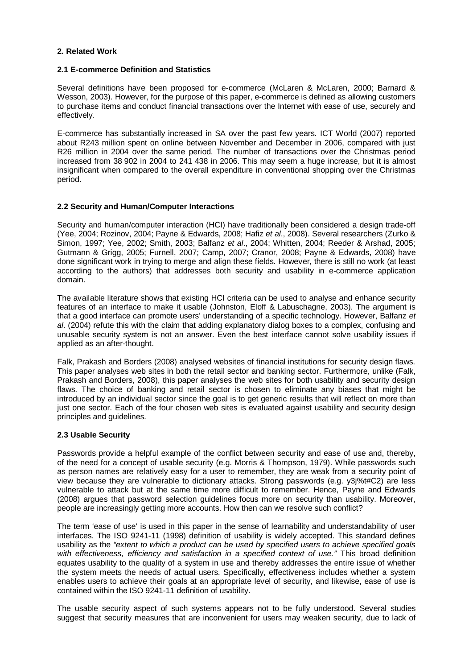## **2. Related Work**

### **2.1 E-commerce Definition and Statistics**

Several definitions have been proposed for e-commerce (McLaren & McLaren, 2000; Barnard & Wesson, 2003). However, for the purpose of this paper, e-commerce is defined as allowing customers to purchase items and conduct financial transactions over the Internet with ease of use, securely and effectively.

E-commerce has substantially increased in SA over the past few years. ICT World (2007) reported about R243 million spent on online between November and December in 2006, compared with just R26 million in 2004 over the same period. The number of transactions over the Christmas period increased from 38 902 in 2004 to 241 438 in 2006. This may seem a huge increase, but it is almost insignificant when compared to the overall expenditure in conventional shopping over the Christmas period.

## **2.2 Security and Human/Computer Interactions**

Security and human/computer interaction (HCI) have traditionally been considered a design trade-off (Yee, 2004; Rozinov, 2004; Payne & Edwards, 2008; Hafiz *et al*., 2008). Several researchers (Zurko & Simon, 1997; Yee, 2002; Smith, 2003; Balfanz *et al*., 2004; Whitten, 2004; Reeder & Arshad, 2005; Gutmann & Grigg, 2005; Furnell, 2007; Camp, 2007; Cranor, 2008; Payne & Edwards, 2008) have done significant work in trying to merge and align these fields. However, there is still no work (at least according to the authors) that addresses both security and usability in e-commerce application domain.

The available literature shows that existing HCI criteria can be used to analyse and enhance security features of an interface to make it usable (Johnston, Eloff & Labuschagne, 2003). The argument is that a good interface can promote users' understanding of a specific technology. However, Balfanz *et al*. (2004) refute this with the claim that adding explanatory dialog boxes to a complex, confusing and unusable security system is not an answer. Even the best interface cannot solve usability issues if applied as an after-thought.

Falk, Prakash and Borders (2008) analysed websites of financial institutions for security design flaws. This paper analyses web sites in both the retail sector and banking sector. Furthermore, unlike (Falk, Prakash and Borders, 2008), this paper analyses the web sites for both usability and security design flaws. The choice of banking and retail sector is chosen to eliminate any biases that might be introduced by an individual sector since the goal is to get generic results that will reflect on more than just one sector. Each of the four chosen web sites is evaluated against usability and security design principles and guidelines.

## **2.3 Usable Security**

Passwords provide a helpful example of the conflict between security and ease of use and, thereby, of the need for a concept of usable security (e.g. Morris & Thompson, 1979). While passwords such as person names are relatively easy for a user to remember, they are weak from a security point of view because they are vulnerable to dictionary attacks. Strong passwords (e.g. y3j%t#C2) are less vulnerable to attack but at the same time more difficult to remember. Hence, Payne and Edwards (2008) argues that password selection guidelines focus more on security than usability. Moreover, people are increasingly getting more accounts. How then can we resolve such conflict?

The term 'ease of use' is used in this paper in the sense of learnability and understandability of user interfaces. The ISO 9241-11 (1998) definition of usability is widely accepted. This standard defines usability as the *"extent to which a product can be used by specified users to achieve specified goals with effectiveness, efficiency and satisfaction in a specified context of use."* This broad definition equates usability to the quality of a system in use and thereby addresses the entire issue of whether the system meets the needs of actual users. Specifically, effectiveness includes whether a system enables users to achieve their goals at an appropriate level of security, and likewise, ease of use is contained within the ISO 9241-11 definition of usability.

The usable security aspect of such systems appears not to be fully understood. Several studies suggest that security measures that are inconvenient for users may weaken security, due to lack of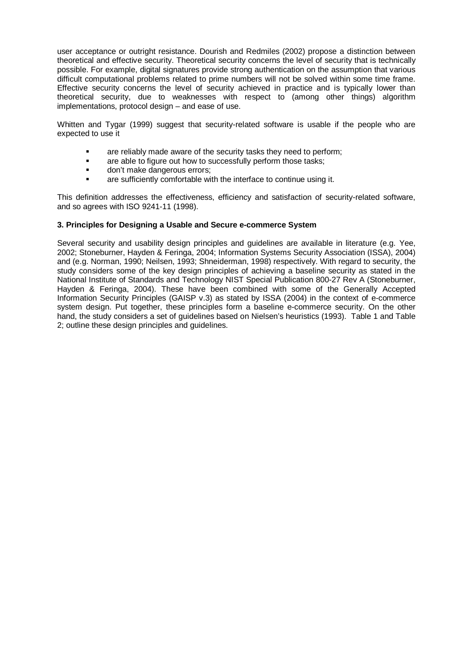user acceptance or outright resistance. Dourish and Redmiles (2002) propose a distinction between theoretical and effective security. Theoretical security concerns the level of security that is technically possible. For example, digital signatures provide strong authentication on the assumption that various difficult computational problems related to prime numbers will not be solved within some time frame. Effective security concerns the level of security achieved in practice and is typically lower than theoretical security, due to weaknesses with respect to (among other things) algorithm implementations, protocol design – and ease of use.

Whitten and Tygar (1999) suggest that security-related software is usable if the people who are expected to use it

- are reliably made aware of the security tasks they need to perform;
- are able to figure out how to successfully perform those tasks;
- don't make dangerous errors;
- are sufficiently comfortable with the interface to continue using it.

This definition addresses the effectiveness, efficiency and satisfaction of security-related software, and so agrees with ISO 9241-11 (1998).

### **3. Principles for Designing a Usable and Secure e-commerce System**

Several security and usability design principles and guidelines are available in literature (e.g. Yee, 2002; Stoneburner, Hayden & Feringa, 2004; Information Systems Security Association (ISSA), 2004) and (e.g. Norman, 1990; Neilsen, 1993; Shneiderman, 1998) respectively. With regard to security, the study considers some of the key design principles of achieving a baseline security as stated in the National Institute of Standards and Technology NIST Special Publication 800-27 Rev A (Stoneburner, Hayden & Feringa, 2004). These have been combined with some of the Generally Accepted Information Security Principles (GAISP v.3) as stated by ISSA (2004) in the context of e-commerce system design. Put together, these principles form a baseline e-commerce security. On the other hand, the study considers a set of guidelines based on Nielsen's heuristics (1993). Table 1 and Table 2; outline these design principles and guidelines.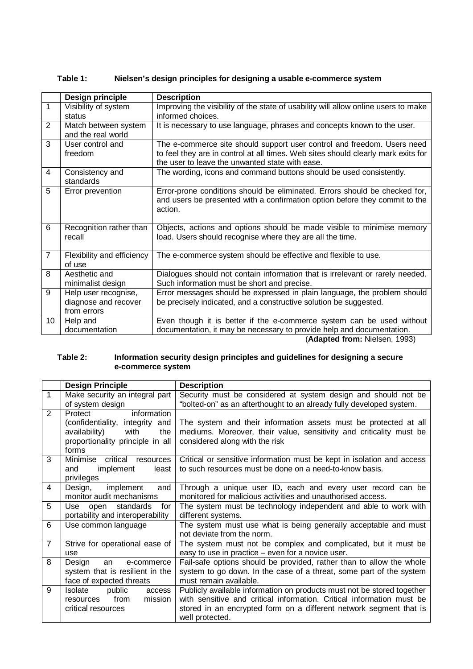|                | Design principle                                            | <b>Description</b>                                                                                                                                                                                              |  |  |  |
|----------------|-------------------------------------------------------------|-----------------------------------------------------------------------------------------------------------------------------------------------------------------------------------------------------------------|--|--|--|
| $\mathbf{1}$   | Visibility of system<br>status                              | Improving the visibility of the state of usability will allow online users to make<br>informed choices.                                                                                                         |  |  |  |
| 2              | Match between system<br>and the real world                  | It is necessary to use language, phrases and concepts known to the user.                                                                                                                                        |  |  |  |
| 3              | User control and<br>freedom                                 | The e-commerce site should support user control and freedom. Users need<br>to feel they are in control at all times. Web sites should clearly mark exits for<br>the user to leave the unwanted state with ease. |  |  |  |
| 4              | Consistency and<br>standards                                | The wording, icons and command buttons should be used consistently.                                                                                                                                             |  |  |  |
| 5              | Error prevention                                            | Error-prone conditions should be eliminated. Errors should be checked for,<br>and users be presented with a confirmation option before they commit to the<br>action.                                            |  |  |  |
| 6              | Recognition rather than<br>recall                           | Objects, actions and options should be made visible to minimise memory<br>load. Users should recognise where they are all the time.                                                                             |  |  |  |
| $\overline{7}$ | Flexibility and efficiency<br>of use                        | The e-commerce system should be effective and flexible to use.                                                                                                                                                  |  |  |  |
| 8              | Aesthetic and<br>minimalist design                          | Dialogues should not contain information that is irrelevant or rarely needed.<br>Such information must be short and precise.                                                                                    |  |  |  |
| 9              | Help user recognise,<br>diagnose and recover<br>from errors | Error messages should be expressed in plain language, the problem should<br>be precisely indicated, and a constructive solution be suggested.                                                                   |  |  |  |
| 10             | Help and<br>documentation                                   | Even though it is better if the e-commerce system can be used without<br>documentation, it may be necessary to provide help and documentation.<br>$(A$ dontod from: Nicloso $(0.00)$                            |  |  |  |

# **Table 1: Nielsen's design principles for designing a usable e-commerce system**

(**Adapted from:** Nielsen, 1993)

### **Table 2: Information security design principles and guidelines for designing a secure e-commerce system**

|                | <b>Design Principle</b>                                                                                                                | <b>Description</b>                                                                                                                                                                                                                       |  |  |  |
|----------------|----------------------------------------------------------------------------------------------------------------------------------------|------------------------------------------------------------------------------------------------------------------------------------------------------------------------------------------------------------------------------------------|--|--|--|
| $\mathbf{1}$   | Make security an integral part<br>of system design                                                                                     | Security must be considered at system design and should not be<br>"bolted-on" as an afterthought to an already fully developed system.                                                                                                   |  |  |  |
| 2              | information<br>Protect<br>(confidentiality, integrity and<br>availability)<br>with<br>the<br>proportionality principle in all<br>forms | The system and their information assets must be protected at all<br>mediums. Moreover, their value, sensitivity and criticality must be<br>considered along with the risk                                                                |  |  |  |
| 3              | Minimise<br>critical<br>resources<br>implement<br>least<br>and<br>privileges                                                           | Critical or sensitive information must be kept in isolation and access<br>to such resources must be done on a need-to-know basis.                                                                                                        |  |  |  |
| 4              | Design,<br>implement<br>and<br>monitor audit mechanisms                                                                                | Through a unique user ID, each and every user record can be<br>monitored for malicious activities and unauthorised access.                                                                                                               |  |  |  |
| 5              | standards<br>Use open<br>for<br>portability and interoperability                                                                       | The system must be technology independent and able to work with<br>different systems.                                                                                                                                                    |  |  |  |
| 6              | Use common language                                                                                                                    | The system must use what is being generally acceptable and must<br>not deviate from the norm.                                                                                                                                            |  |  |  |
| $\overline{7}$ | Strive for operational ease of<br>use                                                                                                  | The system must not be complex and complicated, but it must be<br>easy to use in practice – even for a novice user.                                                                                                                      |  |  |  |
| 8              | Design<br>e-commerce<br>an<br>system that is resilient in the<br>face of expected threats                                              | Fail-safe options should be provided, rather than to allow the whole<br>system to go down. In the case of a threat, some part of the system<br>must remain available.                                                                    |  |  |  |
| 9              | Isolate<br>public<br>access<br>from<br>mission<br>resources<br>critical resources                                                      | Publicly available information on products must not be stored together<br>with sensitive and critical information. Critical information must be<br>stored in an encrypted form on a different network segment that is<br>well protected. |  |  |  |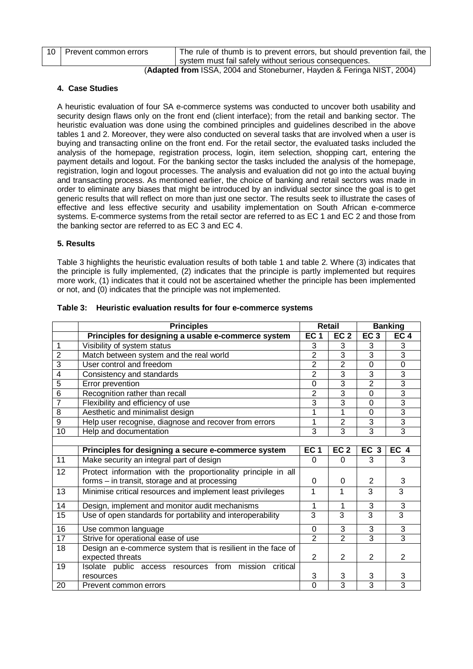| 10   Prevent common errors | The rule of thumb is to prevent errors, but should prevention fail, the                                                                                                                                                                                                                                                                                            |
|----------------------------|--------------------------------------------------------------------------------------------------------------------------------------------------------------------------------------------------------------------------------------------------------------------------------------------------------------------------------------------------------------------|
|                            | system must fail safely without serious consequences.                                                                                                                                                                                                                                                                                                              |
|                            | $\overline{1001}$ $\overline{201}$ $\overline{101}$ $\overline{101}$ $\overline{11}$ $\overline{11}$ $\overline{10}$ $\overline{11}$ $\overline{10}$ $\overline{10}$ $\overline{10}$ $\overline{10}$ $\overline{10}$ $\overline{10}$ $\overline{10}$ $\overline{10}$ $\overline{10}$ $\overline{10}$ $\overline{10}$ $\overline{10}$ $\overline{10}$ $\overline{1$ |

(**Adapted from** ISSA, 2004 and Stoneburner, Hayden & Feringa NIST, 2004)

# **4. Case Studies**

A heuristic evaluation of four SA e-commerce systems was conducted to uncover both usability and security design flaws only on the front end (client interface); from the retail and banking sector. The heuristic evaluation was done using the combined principles and guidelines described in the above tables 1 and 2. Moreover, they were also conducted on several tasks that are involved when a user is buying and transacting online on the front end. For the retail sector, the evaluated tasks included the analysis of the homepage, registration process, login, item selection, shopping cart, entering the payment details and logout. For the banking sector the tasks included the analysis of the homepage, registration, login and logout processes. The analysis and evaluation did not go into the actual buying and transacting process. As mentioned earlier, the choice of banking and retail sectors was made in order to eliminate any biases that might be introduced by an individual sector since the goal is to get generic results that will reflect on more than just one sector. The results seek to illustrate the cases of effective and less effective security and usability implementation on South African e-commerce systems. E-commerce systems from the retail sector are referred to as EC 1 and EC 2 and those from the banking sector are referred to as EC 3 and EC 4.

# **5. Results**

Table 3 highlights the heuristic evaluation results of both table 1 and table 2. Where (3) indicates that the principle is fully implemented, (2) indicates that the principle is partly implemented but requires more work, (1) indicates that it could not be ascertained whether the principle has been implemented or not, and (0) indicates that the principle was not implemented.

|                | <b>Principles</b>                                                                |                 | <b>Retail</b>   |                 | <b>Banking</b>  |  |
|----------------|----------------------------------------------------------------------------------|-----------------|-----------------|-----------------|-----------------|--|
|                | Principles for designing a usable e-commerce system                              | EC <sub>1</sub> | EC <sub>2</sub> | EC <sub>3</sub> | EC <sub>4</sub> |  |
| 1              | Visibility of system status                                                      | 3               | 3               | 3               | 3               |  |
| $\overline{2}$ | Match between system and the real world                                          |                 | $\overline{3}$  | 3               | $\overline{3}$  |  |
| 3              | User control and freedom                                                         |                 | $\overline{2}$  | $\mathbf 0$     | $\mathbf 0$     |  |
| 4              | Consistency and standards                                                        |                 | $\overline{3}$  | 3               | 3               |  |
| 5              | Error prevention                                                                 |                 | 3               | $\overline{2}$  | $\overline{3}$  |  |
| 6              | Recognition rather than recall                                                   |                 | $\overline{3}$  | $\mathbf 0$     | $\overline{3}$  |  |
| $\overline{7}$ | Flexibility and efficiency of use                                                |                 | $\overline{3}$  | $\Omega$        | $\overline{3}$  |  |
| 8              | Aesthetic and minimalist design                                                  | 1               | 1               | $\Omega$        | $\overline{3}$  |  |
| 9              | Help user recognise, diagnose and recover from errors                            | 1               | $\overline{2}$  | 3               | 3               |  |
| 10             | Help and documentation                                                           | 3               | 3               | 3               | $\overline{3}$  |  |
|                |                                                                                  |                 |                 |                 |                 |  |
|                | Principles for designing a secure e-commerce system                              | EC <sub>1</sub> | EC <sub>2</sub> | EC <sub>3</sub> | EC <sub>4</sub> |  |
| 11             | Make security an integral part of design                                         | $\Omega$        | $\Omega$        | 3               | 3               |  |
| 12             | Protect information with the proportionality principle in all                    |                 |                 |                 |                 |  |
|                | forms - in transit, storage and at processing                                    | 0               | $\Omega$        | $\overline{2}$  | 3               |  |
| 13             | Minimise critical resources and implement least privileges                       | 1               | 1               | 3               | 3               |  |
| 14             | Design, implement and monitor audit mechanisms                                   | 1               | 1               | 3               | 3               |  |
| 15             | Use of open standards for portability and interoperability                       | 3               | 3               | 3               | 3               |  |
| 16             | Use common language                                                              | $\Omega$        | 3               | 3               | 3               |  |
| 17             | Strive for operational ease of use                                               | $\overline{2}$  | $\overline{2}$  | $\overline{3}$  | $\overline{3}$  |  |
| 18             | Design an e-commerce system that is resilient in the face of<br>expected threats | 2               | 2               | 2               | 2               |  |
| 19             | Isolate public access resources from mission<br>critical                         |                 |                 |                 |                 |  |
|                | resources                                                                        | 3               | 3               | 3               | 3               |  |
| 20             | Prevent common errors                                                            | $\Omega$        | 3               | 3               | $\overline{3}$  |  |

## **Table 3: Heuristic evaluation results for four e-commerce systems**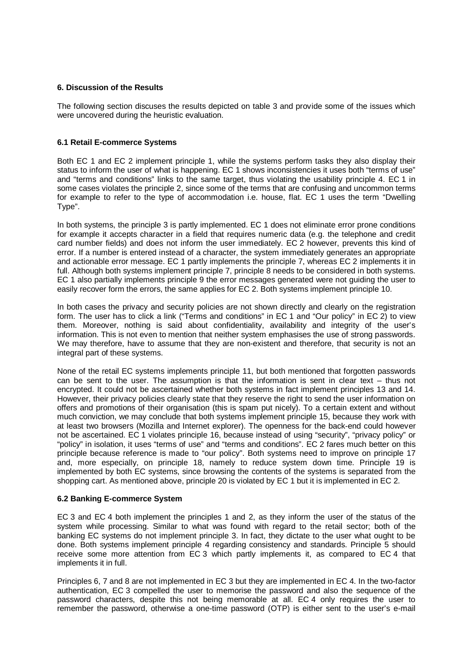## **6. Discussion of the Results**

The following section discuses the results depicted on table 3 and provide some of the issues which were uncovered during the heuristic evaluation.

## **6.1 Retail E-commerce Systems**

Both EC 1 and EC 2 implement principle 1, while the systems perform tasks they also display their status to inform the user of what is happening. EC 1 shows inconsistencies it uses both "terms of use" and "terms and conditions" links to the same target, thus violating the usability principle 4. EC 1 in some cases violates the principle 2, since some of the terms that are confusing and uncommon terms for example to refer to the type of accommodation i.e. house, flat. EC 1 uses the term "Dwelling Type".

In both systems, the principle 3 is partly implemented. EC 1 does not eliminate error prone conditions for example it accepts character in a field that requires numeric data (e.g. the telephone and credit card number fields) and does not inform the user immediately. EC 2 however, prevents this kind of error. If a number is entered instead of a character, the system immediately generates an appropriate and actionable error message. EC 1 partly implements the principle 7, whereas EC 2 implements it in full. Although both systems implement principle 7, principle 8 needs to be considered in both systems. EC 1 also partially implements principle 9 the error messages generated were not guiding the user to easily recover form the errors, the same applies for EC 2. Both systems implement principle 10.

In both cases the privacy and security policies are not shown directly and clearly on the registration form. The user has to click a link ("Terms and conditions" in EC 1 and "Our policy" in EC 2) to view them. Moreover, nothing is said about confidentiality, availability and integrity of the user's information. This is not even to mention that neither system emphasises the use of strong passwords. We may therefore, have to assume that they are non-existent and therefore, that security is not an integral part of these systems.

None of the retail EC systems implements principle 11, but both mentioned that forgotten passwords can be sent to the user. The assumption is that the information is sent in clear text – thus not encrypted. It could not be ascertained whether both systems in fact implement principles 13 and 14. However, their privacy policies clearly state that they reserve the right to send the user information on offers and promotions of their organisation (this is spam put nicely). To a certain extent and without much conviction, we may conclude that both systems implement principle 15, because they work with at least two browsers (Mozilla and Internet explorer). The openness for the back-end could however not be ascertained. EC 1 violates principle 16, because instead of using "security", "privacy policy" or "policy" in isolation, it uses "terms of use" and "terms and conditions". EC 2 fares much better on this principle because reference is made to "our policy". Both systems need to improve on principle 17 and, more especially, on principle 18, namely to reduce system down time. Principle 19 is implemented by both EC systems, since browsing the contents of the systems is separated from the shopping cart. As mentioned above, principle 20 is violated by EC 1 but it is implemented in EC 2.

### **6.2 Banking E-commerce System**

EC 3 and EC 4 both implement the principles 1 and 2, as they inform the user of the status of the system while processing. Similar to what was found with regard to the retail sector; both of the banking EC systems do not implement principle 3. In fact, they dictate to the user what ought to be done. Both systems implement principle 4 regarding consistency and standards. Principle 5 should receive some more attention from EC 3 which partly implements it, as compared to EC 4 that implements it in full.

Principles 6, 7 and 8 are not implemented in EC 3 but they are implemented in EC 4. In the two-factor authentication, EC 3 compelled the user to memorise the password and also the sequence of the password characters, despite this not being memorable at all. EC 4 only requires the user to remember the password, otherwise a one-time password (OTP) is either sent to the user's e-mail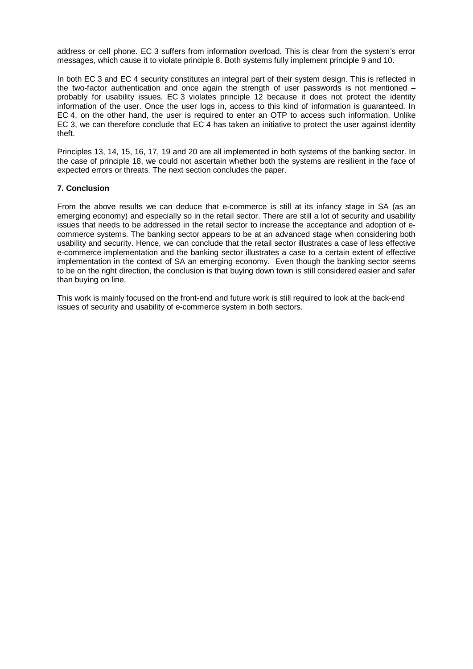address or cell phone. EC 3 suffers from information overload. This is clear from the system's error messages, which cause it to violate principle 8. Both systems fully implement principle 9 and 10.

In both EC 3 and EC 4 security constitutes an integral part of their system design. This is reflected in the two-factor authentication and once again the strength of user passwords is not mentioned probably for usability issues. EC 3 violates principle 12 because it does not protect the identity information of the user. Once the user logs in, access to this kind of information is guaranteed. In EC 4, on the other hand, the user is required to enter an OTP to access such information. Unlike EC 3, we can therefore conclude that EC 4 has taken an initiative to protect the user against identity theft.

Principles 13, 14, 15, 16, 17, 19 and 20 are all implemented in both systems of the banking sector. In the case of principle 18, we could not ascertain whether both the systems are resilient in the face of expected errors or threats. The next section concludes the paper.

## **7. Conclusion**

From the above results we can deduce that e-commerce is still at its infancy stage in SA (as an emerging economy) and especially so in the retail sector. There are still a lot of security and usability issues that needs to be addressed in the retail sector to increase the acceptance and adoption of ecommerce systems. The banking sector appears to be at an advanced stage when considering both usability and security. Hence, we can conclude that the retail sector illustrates a case of less effective e-commerce implementation and the banking sector illustrates a case to a certain extent of effective implementation in the context of SA an emerging economy. Even though the banking sector seems to be on the right direction, the conclusion is that buying down town is still considered easier and safer than buying on line.

This work is mainly focused on the front-end and future work is still required to look at the back-end issues of security and usability of e-commerce system in both sectors.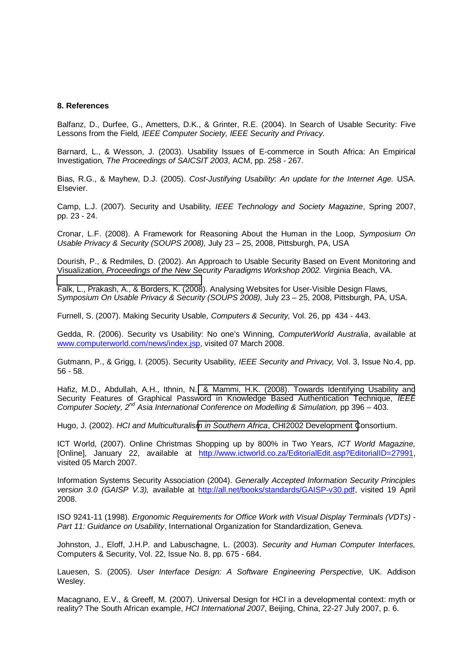### **8. References**

Balfanz, D., Durfee, G., Ametters, D.K., & Grinter, R.E. (2004). In Search of Usable Security: Five Lessons from the Field*, IEEE Computer Society, IEEE Security and Privacy*.

Barnard, L., & Wesson, J. (2003). Usability Issues of E-commerce in South Africa: An Empirical Investigation, *The Proceedings of SAICSIT 2003*, ACM, pp. 258 - 267.

Bias, R.G., & Mayhew, D.J. (2005). *Cost-Justifying Usability: An update for the Internet Age.* USA. Elsevier.

Camp, L.J. (2007). Security and Usability*, IEEE Technology and Society Magazine*, Spring 2007, pp. 23 - 24.

Cronar, L.F. (2008). A Framework for Reasoning About the Human in the Loop, *Symposium On Usable Privacy & Security (SOUPS 2008),* July 23 – 25, 2008, Pittsburgh, PA, USA

Dourish, P., & Redmiles, D. (2002). An Approach to Usable Security Based on Event Monitoring and Visualization, *Proceedings of the New Security Paradigms Workshop 2002.* Virginia Beach, VA.

Falk, L., Prakash, A., & Borders, K. (2008). Analysing Websites for User-Visible Design Flaws, *Symposium On Usable Privacy & Security (SOUPS 2008),* July 23 – 25, 2008, Pittsburgh, PA, USA.

Furnell, S. (2007). Making Security Usable*, Computers & Security,* Vol. 26, pp 434 - 443.

Gedda, R. (2006). Security vs Usability: No one's Winning*, ComputerWorld Australia*, available at www.computerworld.com/news/index.jsp, visited 07 March 2008.

Gutmann, P., & Grigg, I. (2005). Security Usability*, IEEE Security and Privacy,* Vol. 3, Issue No.4, pp. 56 - 58.

Hafiz, M.D., Abdullah, A.H., Ithnin, N.[, & Mammi, H.K. \(2008\). Towards Identifying Usability and](http://www.ictworld.co.za/EditorialEdit.asp?EditorialID=27991) Security Features of Graphical Password in Knowledge Based Authentication Technique, *IEEE Computer Society, 2nd Asia International Conference on Modelling & Simulation,* pp 396 – 403.

Hugo, J. (2002). *HCI and Multiculturalism in Southern Africa*[, CHI2002 Development C](http://all.net/books/standards/GAISP-v30.pdf)onsortium.

ICT World, (2007). Online Christmas Shopping up by 800% in Two Years, *ICT World Magazine,* [Online], January 22, available at http://www.ictworld.co.za/EditorialEdit.asp?EditorialID=27991, visited 05 March 2007.

Information Systems Security Association (2004). *Generally Accepted Information Security Principles version 3.0 (GAISP V.3),* available at http://all.net/books/standards/GAISP-v30.pdf, visited 19 April 2008.

ISO 9241-11 (1998). *Ergonomic Requirements for Office Work with Visual Display Terminals (VDTs) - Part 11: Guidance on Usability*, International Organization for Standardization, Geneva.

Johnston, J., Eloff, J.H.P. and Labuschagne, L. (2003). *Security and Human Computer Interfaces,* Computers & Security, Vol. 22, Issue No. 8, pp. 675 - 684.

Lauesen, S. (2005). *User Interface Design: A Software Engineering Perspective,* UK. Addison Wesley.

Macagnano, E.V., & Greeff, M. (2007). Universal Design for HCI in a developmental context: myth or reality? The South African example, *HCI International 2007*, Beijing, China, 22-27 July 2007, p. 6.